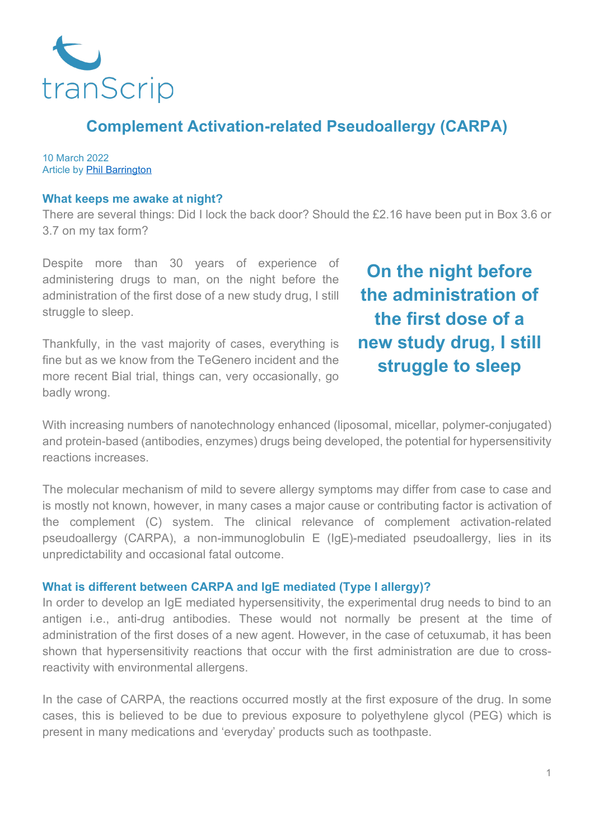

## **Complement Activation-related Pseudoallergy (CARPA)**

#### 10 March 2022 Article by [Phil Barrington](https://www.transcrip-partners.com/person/phil-barrington)

### **What keeps me awake at night?**

There are several things: Did I lock the back door? Should the £2.16 have been put in Box 3.6 or 3.7 on my tax form?

Despite more than 30 years of experience of administering drugs to man, on the night before the administration of the first dose of a new study drug, I still struggle to sleep.

Thankfully, in the vast majority of cases, everything is fine but as we know from the TeGenero incident and the more recent Bial trial, things can, very occasionally, go badly wrong.

**On the night before the administration of the first dose of a new study drug, I still struggle to sleep**

With increasing numbers of nanotechnology enhanced (liposomal, micellar, polymer-conjugated) and protein-based (antibodies, enzymes) drugs being developed, the potential for hypersensitivity reactions increases.

The molecular mechanism of mild to severe allergy symptoms may differ from case to case and is mostly not known, however, in many cases a major cause or contributing factor is activation of the complement (C) system. The clinical relevance of complement activation-related pseudoallergy (CARPA), a non-immunoglobulin E (IgE)-mediated pseudoallergy, lies in its unpredictability and occasional fatal outcome.

### **What is different between CARPA and IgE mediated (Type I allergy)?**

In order to develop an IgE mediated hypersensitivity, the experimental drug needs to bind to an antigen i.e., anti-drug antibodies. These would not normally be present at the time of administration of the first doses of a new agent. However, in the case of cetuxumab, it has been shown that hypersensitivity reactions that occur with the first administration are due to crossreactivity with environmental allergens.

In the case of CARPA, the reactions occurred mostly at the first exposure of the drug. In some cases, this is believed to be due to previous exposure to polyethylene glycol (PEG) which is present in many medications and 'everyday' products such as toothpaste.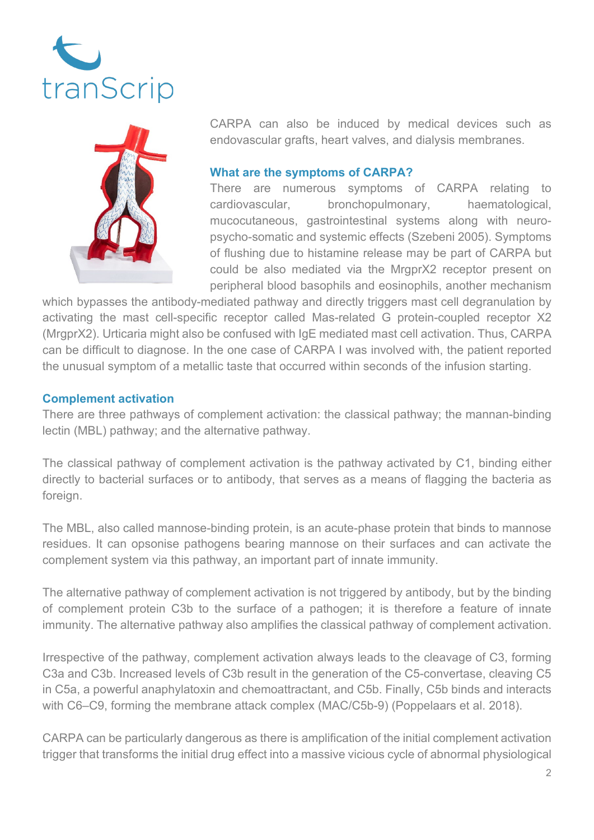



CARPA can also be induced by medical devices such as endovascular grafts, heart valves, and dialysis membranes.

### **What are the symptoms of CARPA?**

There are numerous symptoms of CARPA relating to cardiovascular, bronchopulmonary, haematological, mucocutaneous, gastrointestinal systems along with neuropsycho-somatic and systemic effects (Szebeni 2005). Symptoms of flushing due to histamine release may be part of CARPA but could be also mediated via the MrgprX2 receptor present on peripheral blood basophils and eosinophils, another mechanism

which bypasses the antibody-mediated pathway and directly triggers mast cell degranulation by activating the mast cell-specific receptor called Mas-related G protein-coupled receptor X2 (MrgprX2). Urticaria might also be confused with IgE mediated mast cell activation. Thus, CARPA can be difficult to diagnose. In the one case of CARPA I was involved with, the patient reported the unusual symptom of a metallic taste that occurred within seconds of the infusion starting.

### **Complement activation**

There are three pathways of complement activation: the classical pathway; the mannan-binding lectin (MBL) pathway; and the alternative pathway.

The classical pathway of complement activation is the pathway activated by C1, binding either directly to bacterial surfaces or to antibody, that serves as a means of flagging the bacteria as foreign.

The MBL, also called mannose-binding protein, is an acute-phase protein that binds to mannose residues. It can opsonise pathogens bearing mannose on their surfaces and can activate the complement system via this pathway, an important part of innate immunity.

The alternative pathway of complement activation is not triggered by antibody, but by the binding of complement protein C3b to the surface of a pathogen; it is therefore a feature of innate immunity. The alternative pathway also amplifies the classical pathway of complement activation.

Irrespective of the pathway, complement activation always leads to the cleavage of C3, forming C3a and C3b. Increased levels of C3b result in the generation of the C5-convertase, cleaving C5 in C5a, a powerful anaphylatoxin and chemoattractant, and C5b. Finally, C5b binds and interacts with C6–C9, forming the membrane attack complex (MAC/C5b-9) (Poppelaars et al. 2018).

CARPA can be particularly dangerous as there is amplification of the initial complement activation trigger that transforms the initial drug effect into a massive vicious cycle of abnormal physiological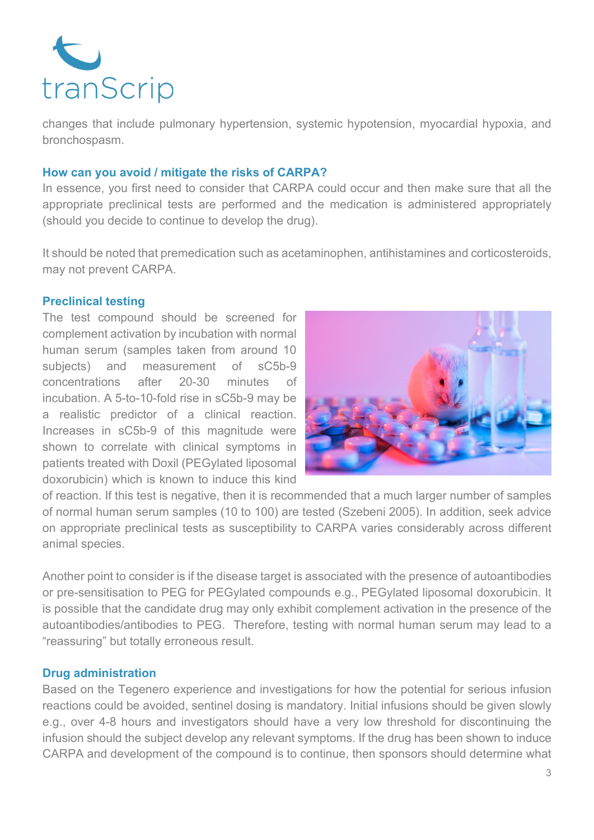# tranScrip

changes that include pulmonary hypertension, systemic hypotension, myocardial hypoxia, and bronchospasm.

### **How can you avoid / mitigate the risks of CARPA?**

In essence, you first need to consider that CARPA could occur and then make sure that all the appropriate preclinical tests are performed and the medication is administered appropriately (should you decide to continue to develop the drug).

It should be noted that premedication such as acetaminophen, antihistamines and corticosteroids, may not prevent CARPA.

### **Preclinical testing**

The test compound should be screened for complement activation by incubation with normal human serum (samples taken from around 10 subjects) and measurement of sC5b-9 concentrations after 20-30 minutes of incubation. A 5-to-10-fold rise in sC5b-9 may be a realistic predictor of a clinical reaction. Increases in sC5b-9 of this magnitude were shown to correlate with clinical symptoms in patients treated with Doxil (PEGylated liposomal doxorubicin) which is known to induce this kind



of reaction. If this test is negative, then it is recommended that a much larger number of samples of normal human serum samples (10 to 100) are tested (Szebeni 2005). In addition, seek advice on appropriate preclinical tests as susceptibility to CARPA varies considerably across different animal species.

Another point to consider is if the disease target is associated with the presence of autoantibodies or pre-sensitisation to PEG for PEGylated compounds e.g., PEGylated liposomal doxorubicin. It is possible that the candidate drug may only exhibit complement activation in the presence of the autoantibodies/antibodies to PEG. Therefore, testing with normal human serum may lead to a "reassuring" but totally erroneous result.

### **Drug administration**

Based on the Tegenero experience and investigations for how the potential for serious infusion reactions could be avoided, sentinel dosing is mandatory. Initial infusions should be given slowly e.g., over 4-8 hours and investigators should have a very low threshold for discontinuing the infusion should the subject develop any relevant symptoms. If the drug has been shown to induce CARPA and development of the compound is to continue, then sponsors should determine what